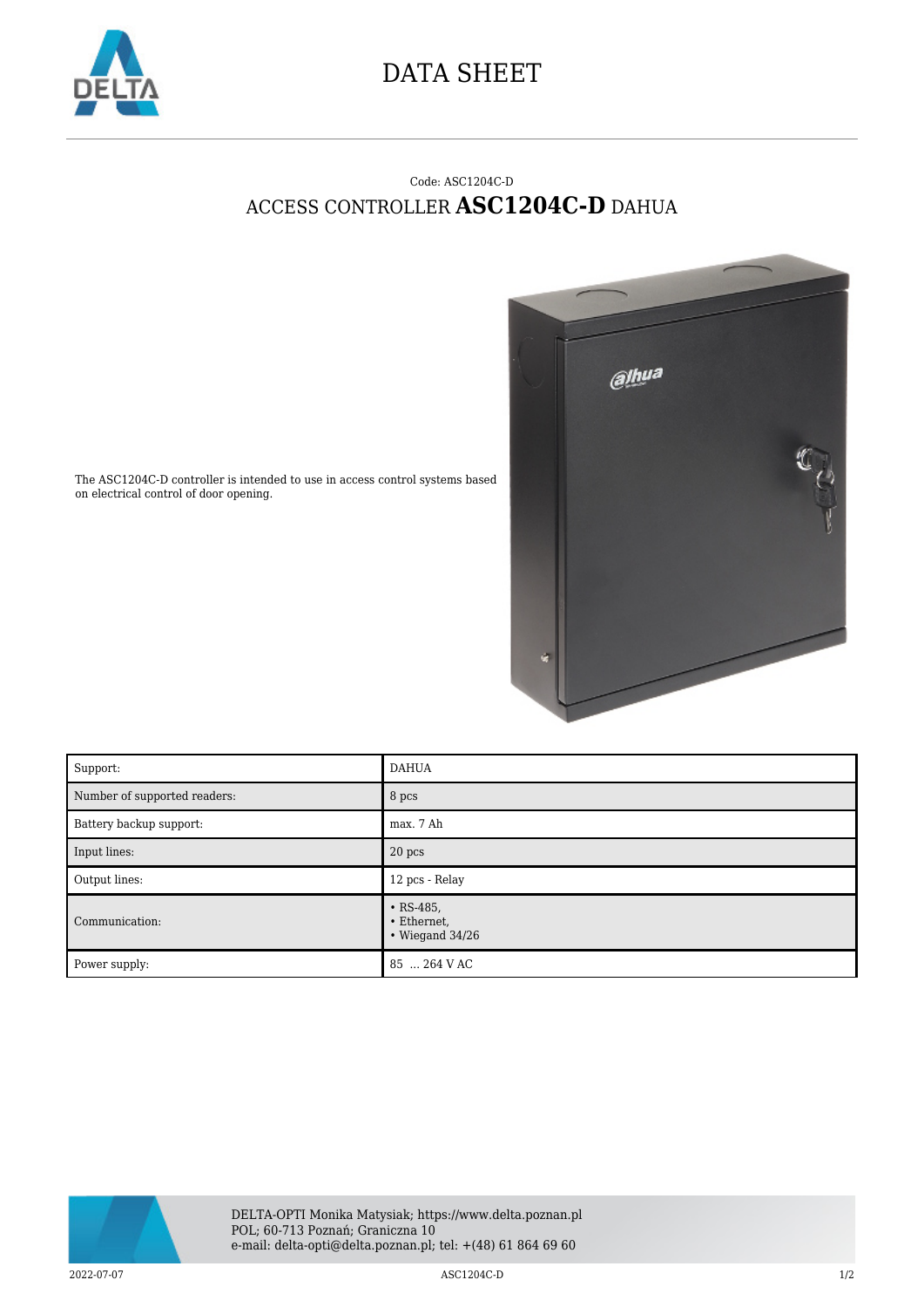

## DATA SHEET

## Code: ASC1204C-D ACCESS CONTROLLER **ASC1204C-D** DAHUA



The ASC1204C-D controller is intended to use in access control systems based on electrical control of door opening.

| Support:                     | <b>DAHUA</b>                                            |
|------------------------------|---------------------------------------------------------|
| Number of supported readers: | 8 pcs                                                   |
| Battery backup support:      | max. 7 Ah                                               |
| Input lines:                 | 20 pcs                                                  |
| Output lines:                | 12 pcs - Relay                                          |
| Communication:               | $\cdot$ RS-485,<br>• Ethernet,<br>$\cdot$ Wiegand 34/26 |
| Power supply:                | 85  264 V AC                                            |



2022-07-07 1/2